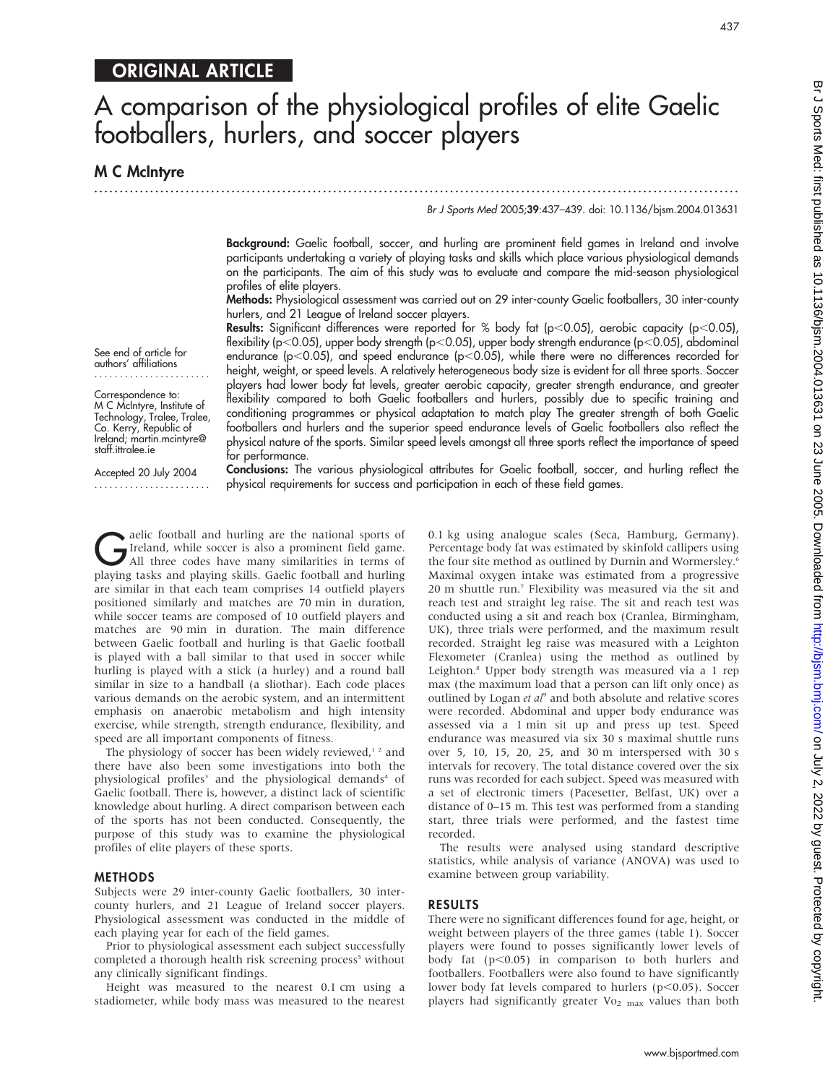# ORIGINAL ARTICLE

# A comparison of the physiological profiles of elite Gaelic footballers, hurlers, and soccer players

...............................................................................................................................

**M C McIntyre** 

#### Br J Sports Med 2005;39:437–439. doi: 10.1136/bjsm.2004.013631

437

Background: Gaelic football, soccer, and hurling are prominent field games in Ireland and involve participants undertaking a variety of playing tasks and skills which place various physiological demands on the participants. The aim of this study was to evaluate and compare the mid-season physiological profiles of elite players.

Methods: Physiological assessment was carried out on 29 inter-county Gaelic footballers, 30 inter-county hurlers, and 21 League of Ireland soccer players.

Results: Significant differences were reported for % body fat (p<0.05), aerobic capacity (p<0.05), flexibility (p<0.05), upper body strength (p<0.05), upper body strength endurance (p<0.05), abdominal endurance (p<0.05), and speed endurance (p<0.05), while there were no differences recorded for height, weight, or speed levels. A relatively heterogeneous body size is evident for all three sports. Soccer players had lower body fat levels, greater aerobic capacity, greater strength endurance, and greater flexibility compared to both Gaelic footballers and hurlers, possibly due to specific training and conditioning programmes or physical adaptation to match play The greater strength of both Gaelic footballers and hurlers and the superior speed endurance levels of Gaelic footballers also reflect the physical nature of the sports. Similar speed levels amongst all three sports reflect the importance of speed for performance.

See end of article for authors' affiliations .......................

Correspondence to: M C McIntyre, Institute of Technology, Tralee, Tralee, Co. Kerry, Republic of Ireland; martin.mcintyre@ staff.ittralee.ie

Accepted 20 July 2004 ....................... Conclusions: The various physiological attributes for Gaelic football, soccer, and hurling reflect the physical requirements for success and participation in each of these field games.

elic football and hurling are the national sports of<br>Ireland, while soccer is also a prominent field game.<br>All three codes have many similarities in terms of<br>playing tasks and playing skills. Casks football and burling Ireland, while soccer is also a prominent field game. playing tasks and playing skills. Gaelic football and hurling are similar in that each team comprises 14 outfield players positioned similarly and matches are 70 min in duration, while soccer teams are composed of 10 outfield players and matches are 90 min in duration. The main difference between Gaelic football and hurling is that Gaelic football is played with a ball similar to that used in soccer while hurling is played with a stick (a hurley) and a round ball similar in size to a handball (a sliothar). Each code places various demands on the aerobic system, and an intermittent emphasis on anaerobic metabolism and high intensity exercise, while strength, strength endurance, flexibility, and speed are all important components of fitness.

The physiology of soccer has been widely reviewed,<sup>12</sup> and there have also been some investigations into both the physiological profiles<sup>3</sup> and the physiological demands<sup>4</sup> of Gaelic football. There is, however, a distinct lack of scientific knowledge about hurling. A direct comparison between each of the sports has not been conducted. Consequently, the purpose of this study was to examine the physiological profiles of elite players of these sports.

#### **METHODS**

Subjects were 29 inter-county Gaelic footballers, 30 intercounty hurlers, and 21 League of Ireland soccer players. Physiological assessment was conducted in the middle of each playing year for each of the field games.

Prior to physiological assessment each subject successfully completed a thorough health risk screening process<sup>5</sup> without any clinically significant findings.

Height was measured to the nearest 0.1 cm using a stadiometer, while body mass was measured to the nearest 0.1 kg using analogue scales (Seca, Hamburg, Germany). Percentage body fat was estimated by skinfold callipers using the four site method as outlined by Durnin and Wormersley.<sup>6</sup> Maximal oxygen intake was estimated from a progressive 20 m shuttle run.7 Flexibility was measured via the sit and reach test and straight leg raise. The sit and reach test was conducted using a sit and reach box (Cranlea, Birmingham, UK), three trials were performed, and the maximum result recorded. Straight leg raise was measured with a Leighton Flexometer (Cranlea) using the method as outlined by Leighton.8 Upper body strength was measured via a 1 rep max (the maximum load that a person can lift only once) as outlined by Logan et al<sup>9</sup> and both absolute and relative scores were recorded. Abdominal and upper body endurance was assessed via a 1 min sit up and press up test. Speed endurance was measured via six 30 s maximal shuttle runs over 5, 10, 15, 20, 25, and 30 m interspersed with 30 s intervals for recovery. The total distance covered over the six runs was recorded for each subject. Speed was measured with a set of electronic timers (Pacesetter, Belfast, UK) over a distance of 0–15 m. This test was performed from a standing start, three trials were performed, and the fastest time recorded.

The results were analysed using standard descriptive statistics, while analysis of variance (ANOVA) was used to examine between group variability.

# RESULTS

There were no significant differences found for age, height, or weight between players of the three games (table 1). Soccer players were found to posses significantly lower levels of body fat  $(p<0.05)$  in comparison to both hurlers and footballers. Footballers were also found to have significantly lower body fat levels compared to hurlers ( $p$ <0.05). Soccer players had significantly greater  $Vo_{2 \text{ max}}$  values than both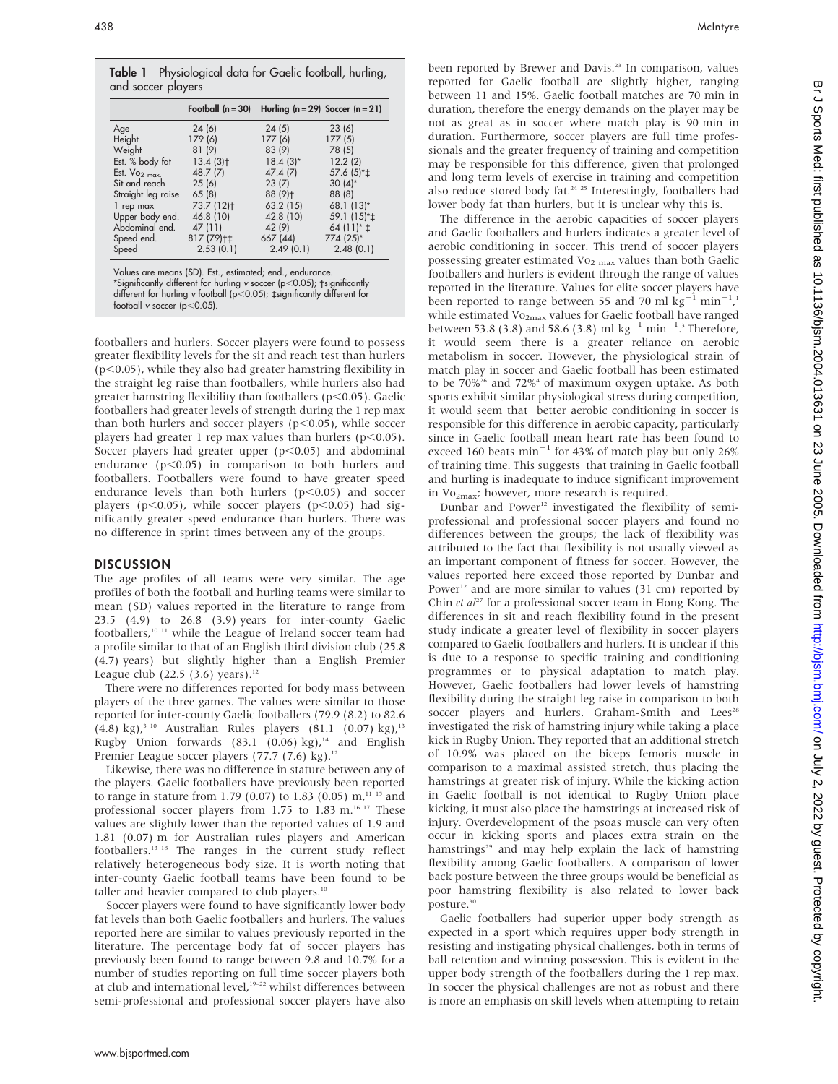|                           | Football $(n = 30)$                                      | Hurling $(n = 29)$ Soccer $(n = 21)$ |                  |
|---------------------------|----------------------------------------------------------|--------------------------------------|------------------|
| Age                       | 24(6)                                                    | 24(5)                                | 23(6)            |
| Height                    | 179(6)                                                   | 177 (6)                              | 177(5)           |
| Weight                    | 81(9)                                                    | 83 (9)                               | 78 (5)           |
| Est. % body fat           | $13.4(3)$ t                                              | $18.4(3)^{*}$                        | 12.2(2)          |
| Est. $V_{O2 \text{ max}}$ | 48.7 (7)                                                 | 47.4 (7)                             | 57.6 (5)* $\pm$  |
| Sit and reach             | 25(6)                                                    | 23(7)                                | $30(4)$ *        |
| Straight leg raise        | 65(8)                                                    | 88 (9)+                              | $88(8)^-$        |
| 1 rep max                 | 73.7 (12)+                                               | 63.2(15)                             | 68.1 (13)*       |
| Upper body end.           | 46.8 (10)                                                | 42.8 (10)                            | 59.1 (15)* $\pm$ |
| Abdominal end.            | 47 (11)                                                  | 42 (9)                               | 64 $(11)*$ ±     |
| Speed end.                | 817 (79)+±                                               | 667 (44)                             | 774 (25)*        |
| Speed                     | 2.53(0.1)                                                | 2.49(0.1)                            | 2.48(0.1)        |
|                           | Values are means (SD). Est., estimated; end., endurance. |                                      |                  |

footballers and hurlers. Soccer players were found to possess greater flexibility levels for the sit and reach test than hurlers  $(p<0.05)$ , while they also had greater hamstring flexibility in the straight leg raise than footballers, while hurlers also had greater hamstring flexibility than footballers ( $p$ <0.05). Gaelic footballers had greater levels of strength during the 1 rep max than both hurlers and soccer players ( $p<0.05$ ), while soccer players had greater 1 rep max values than hurlers ( $p$ <0.05). Soccer players had greater upper  $(p<0.05)$  and abdominal endurance  $(p<0.05)$  in comparison to both hurlers and footballers. Footballers were found to have greater speed endurance levels than both hurlers  $(p<0.05)$  and soccer players ( $p<0.05$ ), while soccer players ( $p<0.05$ ) had significantly greater speed endurance than hurlers. There was no difference in sprint times between any of the groups.

# DISCUSSION

The age profiles of all teams were very similar. The age profiles of both the football and hurling teams were similar to mean (SD) values reported in the literature to range from 23.5 (4.9) to 26.8 (3.9) years for inter-county Gaelic footballers,<sup>10 11</sup> while the League of Ireland soccer team had a profile similar to that of an English third division club (25.8 (4.7) years) but slightly higher than a English Premier League club (22.5 (3.6) years).<sup>12</sup>

There were no differences reported for body mass between players of the three games. The values were similar to those reported for inter-county Gaelic footballers (79.9 (8.2) to 82.6  $(4.8)$  kg),<sup>3 10</sup> Australian Rules players  $(81.1 \ (0.07)$  kg),<sup>13</sup> Rugby Union forwards  $(83.1 \ (0.06) \ kg)^{14}$  and English Premier League soccer players  $(77.7 \, (7.6) \, \text{kg})$ .<sup>12</sup>

Likewise, there was no difference in stature between any of the players. Gaelic footballers have previously been reported to range in stature from 1.79 (0.07) to 1.83 (0.05)  $m<sup>11-15</sup>$  and professional soccer players from 1.75 to 1.83 m.<sup>16 17</sup> These values are slightly lower than the reported values of 1.9 and 1.81 (0.07) m for Australian rules players and American footballers.13 18 The ranges in the current study reflect relatively heterogeneous body size. It is worth noting that inter-county Gaelic football teams have been found to be taller and heavier compared to club players.<sup>10</sup>

Soccer players were found to have significantly lower body fat levels than both Gaelic footballers and hurlers. The values reported here are similar to values previously reported in the literature. The percentage body fat of soccer players has previously been found to range between 9.8 and 10.7% for a number of studies reporting on full time soccer players both at club and international level,<sup>19-22</sup> whilst differences between semi-professional and professional soccer players have also

been reported by Brewer and Davis.<sup>23</sup> In comparison, values reported for Gaelic football are slightly higher, ranging between 11 and 15%. Gaelic football matches are 70 min in duration, therefore the energy demands on the player may be not as great as in soccer where match play is 90 min in duration. Furthermore, soccer players are full time professionals and the greater frequency of training and competition may be responsible for this difference, given that prolonged and long term levels of exercise in training and competition also reduce stored body fat.<sup>24-25</sup> Interestingly, footballers had lower body fat than hurlers, but it is unclear why this is.

The difference in the aerobic capacities of soccer players and Gaelic footballers and hurlers indicates a greater level of aerobic conditioning in soccer. This trend of soccer players possessing greater estimated  $\mathrm{Vo}_{2\max}$  values than both Gaelic footballers and hurlers is evident through the range of values reported in the literature. Values for elite soccer players have been reported to range between 55 and 70 ml  $\rm kg^{-1}$  min<sup>-1</sup>,<sup>1</sup> while estimated Vo<sub>2max</sub> values for Gaelic football have ranged between 53.8 (3.8) and 58.6 (3.8) ml  $\text{kg}^{-1}$  min<sup>-1</sup>.<sup>3</sup> Therefore, it would seem there is a greater reliance on aerobic metabolism in soccer. However, the physiological strain of match play in soccer and Gaelic football has been estimated to be  $70\%$ <sup>26</sup> and  $72\%$ <sup>4</sup> of maximum oxygen uptake. As both sports exhibit similar physiological stress during competition, it would seem that better aerobic conditioning in soccer is responsible for this difference in aerobic capacity, particularly since in Gaelic football mean heart rate has been found to exceed 160 beats  $min^{-1}$  for 43% of match play but only 26% of training time. This suggests that training in Gaelic football and hurling is inadequate to induce significant improvement in  $Vo_{2max}$ ; however, more research is required.

Dunbar and Power<sup>12</sup> investigated the flexibility of semiprofessional and professional soccer players and found no differences between the groups; the lack of flexibility was attributed to the fact that flexibility is not usually viewed as an important component of fitness for soccer. However, the values reported here exceed those reported by Dunbar and Power<sup>12</sup> and are more similar to values (31 cm) reported by Chin et  $al^{27}$  for a professional soccer team in Hong Kong. The differences in sit and reach flexibility found in the present study indicate a greater level of flexibility in soccer players compared to Gaelic footballers and hurlers. It is unclear if this is due to a response to specific training and conditioning programmes or to physical adaptation to match play. However, Gaelic footballers had lower levels of hamstring flexibility during the straight leg raise in comparison to both soccer players and hurlers. Graham-Smith and Lees<sup>28</sup> investigated the risk of hamstring injury while taking a place kick in Rugby Union. They reported that an additional stretch of 10.9% was placed on the biceps femoris muscle in comparison to a maximal assisted stretch, thus placing the hamstrings at greater risk of injury. While the kicking action in Gaelic football is not identical to Rugby Union place kicking, it must also place the hamstrings at increased risk of injury. Overdevelopment of the psoas muscle can very often occur in kicking sports and places extra strain on the hamstrings<sup>29</sup> and may help explain the lack of hamstring flexibility among Gaelic footballers. A comparison of lower back posture between the three groups would be beneficial as poor hamstring flexibility is also related to lower back posture.<sup>30</sup>

Gaelic footballers had superior upper body strength as expected in a sport which requires upper body strength in resisting and instigating physical challenges, both in terms of ball retention and winning possession. This is evident in the upper body strength of the footballers during the 1 rep max. In soccer the physical challenges are not as robust and there is more an emphasis on skill levels when attempting to retain